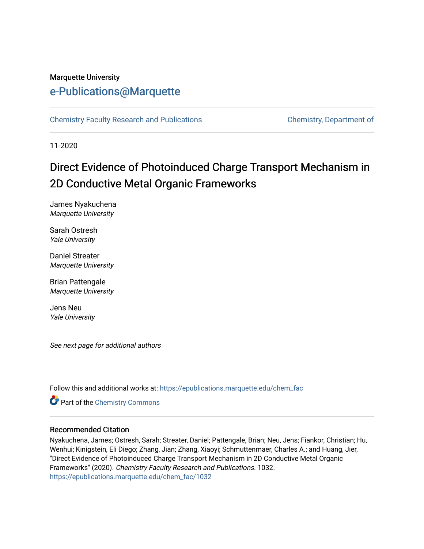# Marquette University

# [e-Publications@Marquette](https://epublications.marquette.edu/)

[Chemistry Faculty Research and Publications](https://epublications.marquette.edu/chem_fac) **Chemistry, Department of** 

11-2020

# Direct Evidence of Photoinduced Charge Transport Mechanism in 2D Conductive Metal Organic Frameworks

James Nyakuchena Marquette University

Sarah Ostresh Yale University

Daniel Streater Marquette University

Brian Pattengale Marquette University

Jens Neu Yale University

See next page for additional authors

Follow this and additional works at: [https://epublications.marquette.edu/chem\\_fac](https://epublications.marquette.edu/chem_fac?utm_source=epublications.marquette.edu%2Fchem_fac%2F1032&utm_medium=PDF&utm_campaign=PDFCoverPages) 

Part of the [Chemistry Commons](http://network.bepress.com/hgg/discipline/131?utm_source=epublications.marquette.edu%2Fchem_fac%2F1032&utm_medium=PDF&utm_campaign=PDFCoverPages) 

#### Recommended Citation

Nyakuchena, James; Ostresh, Sarah; Streater, Daniel; Pattengale, Brian; Neu, Jens; Fiankor, Christian; Hu, Wenhui; Kinigstein, Eli Diego; Zhang, Jian; Zhang, Xiaoyi; Schmuttenmaer, Charles A.; and Huang, Jier, "Direct Evidence of Photoinduced Charge Transport Mechanism in 2D Conductive Metal Organic Frameworks" (2020). Chemistry Faculty Research and Publications. 1032. [https://epublications.marquette.edu/chem\\_fac/1032](https://epublications.marquette.edu/chem_fac/1032?utm_source=epublications.marquette.edu%2Fchem_fac%2F1032&utm_medium=PDF&utm_campaign=PDFCoverPages)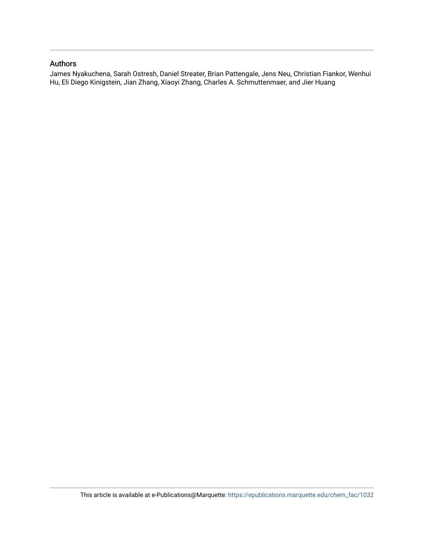#### Authors

James Nyakuchena, Sarah Ostresh, Daniel Streater, Brian Pattengale, Jens Neu, Christian Fiankor, Wenhui Hu, Eli Diego Kinigstein, Jian Zhang, Xiaoyi Zhang, Charles A. Schmuttenmaer, and Jier Huang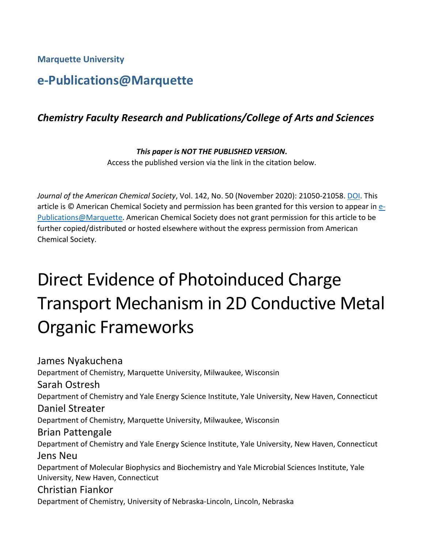**Marquette University**

# **e-Publications@Marquette**

# *Chemistry Faculty Research and Publications/College of Arts and Sciences*

# *This paper is NOT THE PUBLISHED VERSION***.**

Access the published version via the link in the citation below.

*Journal of the American Chemical Society*, Vol. 142, No. 50 (November 2020): 21050-21058. [DOI.](https://doi.org/10.1021/jacs.0c09000) This article is © American Chemical Society and permission has been granted for this version to appear in [e-](http://epublications.marquette.edu/)[Publications@Marquette.](http://epublications.marquette.edu/) American Chemical Society does not grant permission for this article to be further copied/distributed or hosted elsewhere without the express permission from American Chemical Society.

# Direct Evidence of Photoinduced Charge Transport Mechanism in 2D Conductive Metal Organic Frameworks

James Nyakuchena Department of Chemistry, Marquette University, Milwaukee, Wisconsin Sarah Ostresh Department of Chemistry and Yale Energy Science Institute, Yale University, New Haven, Connecticut Daniel Streater Department of Chemistry, Marquette University, Milwaukee, Wisconsin Brian Pattengale Department of Chemistry and Yale Energy Science Institute, Yale University, New Haven, Connecticut Jens Neu Department of Molecular Biophysics and Biochemistry and Yale Microbial Sciences Institute, Yale University, New Haven, Connecticut Christian Fiankor Department of Chemistry, University of Nebraska-Lincoln, Lincoln, Nebraska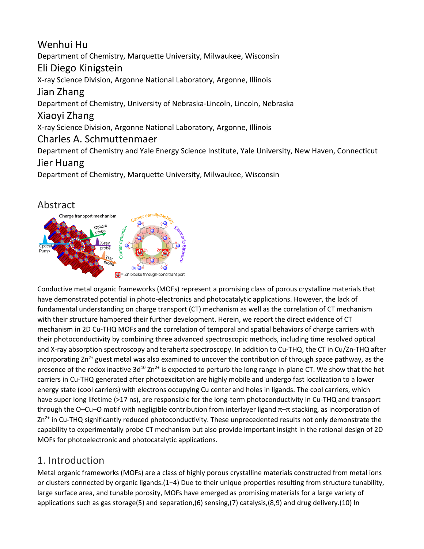## Wenhui Hu Department of Chemistry, Marquette University, Milwaukee, Wisconsin Eli Diego Kinigstein X-ray Science Division, Argonne National Laboratory, Argonne, Illinois Jian Zhang Department of Chemistry, University of Nebraska-Lincoln, Lincoln, Nebraska Xiaoyi Zhang X-ray Science Division, Argonne National Laboratory, Argonne, Illinois Charles A. Schmuttenmaer Department of Chemistry and Yale Energy Science Institute, Yale University, New Haven, Connecticut Jier Huang Department of Chemistry, Marquette University, Milwaukee, Wisconsin

# Abstract



Conductive metal organic frameworks (MOFs) represent a promising class of porous crystalline materials that have demonstrated potential in photo-electronics and photocatalytic applications. However, the lack of fundamental understanding on charge transport (CT) mechanism as well as the correlation of CT mechanism with their structure hampered their further development. Herein, we report the direct evidence of CT mechanism in 2D Cu-THQ MOFs and the correlation of temporal and spatial behaviors of charge carriers with their photoconductivity by combining three advanced spectroscopic methods, including time resolved optical and X-ray absorption spectroscopy and terahertz spectroscopy. In addition to Cu-THQ, the CT in Cu/Zn-THQ after incorporating  $Zn^{2+}$  guest metal was also examined to uncover the contribution of through space pathway, as the presence of the redox inactive  $3d^{10} Zn^{2+}$  is expected to perturb the long range in-plane CT. We show that the hot carriers in Cu-THQ generated after photoexcitation are highly mobile and undergo fast localization to a lower energy state (cool carriers) with electrons occupying Cu center and holes in ligands. The cool carriers, which have super long lifetime (>17 ns), are responsible for the long-term photoconductivity in Cu-THQ and transport through the O–Cu–O motif with negligible contribution from interlayer ligand π–π stacking, as incorporation of  $Zn^{2+}$  in Cu-THQ significantly reduced photoconductivity. These unprecedented results not only demonstrate the capability to experimentally probe CT mechanism but also provide important insight in the rational design of 2D MOFs for photoelectronic and photocatalytic applications.

## 1. Introduction

Metal organic frameworks (MOFs) are a class of highly porous crystalline materials constructed from metal ions or clusters connected by organic ligands.(1−4) Due to their unique properties resulting from structure tunability, large surface area, and tunable porosity, MOFs have emerged as promising materials for a large variety of applications such as gas storage(5) and separation,(6) sensing,(7) catalysis,(8,9) and drug delivery.(10) In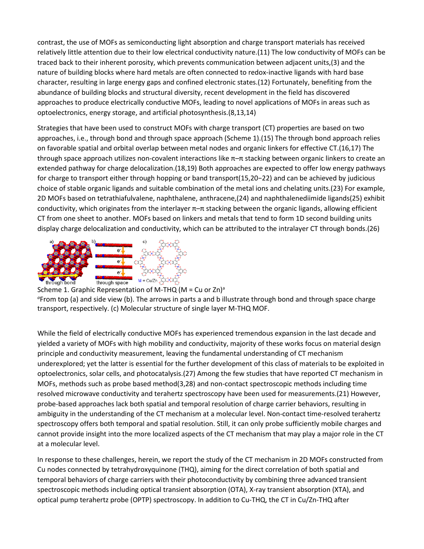contrast, the use of MOFs as semiconducting light absorption and charge transport materials has received relatively little attention due to their low electrical conductivity nature.(11) The low conductivity of MOFs can be traced back to their inherent porosity, which prevents communication between adjacent units,(3) and the nature of building blocks where hard metals are often connected to redox-inactive ligands with hard base character, resulting in large energy gaps and confined electronic states.(12) Fortunately, benefiting from the abundance of building blocks and structural diversity, recent development in the field has discovered approaches to produce electrically conductive MOFs, leading to novel applications of MOFs in areas such as optoelectronics, energy storage, and artificial photosynthesis.(8,13,14)

Strategies that have been used to construct MOFs with charge transport (CT) properties are based on two approaches, i.e., through bond and through space approach (Scheme 1).(15) The through bond approach relies on favorable spatial and orbital overlap between metal nodes and organic linkers for effective CT.(16,17) The through space approach utilizes non-covalent interactions like  $\pi$ – $\pi$  stacking between organic linkers to create an extended pathway for charge delocalization.(18,19) Both approaches are expected to offer low energy pathways for charge to transport either through hopping or band transport(15,20−22) and can be achieved by judicious choice of stable organic ligands and suitable combination of the metal ions and chelating units.(23) For example, 2D MOFs based on tetrathiafulvalene, naphthalene, anthracene,(24) and naphthalenediimide ligands(25) exhibit conductivity, which originates from the interlayer  $π$  = π stacking between the organic ligands, allowing efficient CT from one sheet to another. MOFs based on linkers and metals that tend to form 1D second building units display charge delocalization and conductivity, which can be attributed to the intralayer CT through bonds.(26)





While the field of electrically conductive MOFs has experienced tremendous expansion in the last decade and yielded a variety of MOFs with high mobility and conductivity, majority of these works focus on material design principle and conductivity measurement, leaving the fundamental understanding of CT mechanism underexplored; yet the latter is essential for the further development of this class of materials to be exploited in optoelectronics, solar cells, and photocatalysis.(27) Among the few studies that have reported CT mechanism in MOFs, methods such as probe based method(3,28) and non-contact spectroscopic methods including time resolved microwave conductivity and terahertz spectroscopy have been used for measurements.(21) However, probe-based approaches lack both spatial and temporal resolution of charge carrier behaviors, resulting in ambiguity in the understanding of the CT mechanism at a molecular level. Non-contact time-resolved terahertz spectroscopy offers both temporal and spatial resolution. Still, it can only probe sufficiently mobile charges and cannot provide insight into the more localized aspects of the CT mechanism that may play a major role in the CT at a molecular level.

In response to these challenges, herein, we report the study of the CT mechanism in 2D MOFs constructed from Cu nodes connected by tetrahydroxyquinone (THQ), aiming for the direct correlation of both spatial and temporal behaviors of charge carriers with their photoconductivity by combining three advanced transient spectroscopic methods including optical transient absorption (OTA), X-ray transient absorption (XTA), and optical pump terahertz probe (OPTP) spectroscopy. In addition to Cu-THQ, the CT in Cu/Zn-THQ after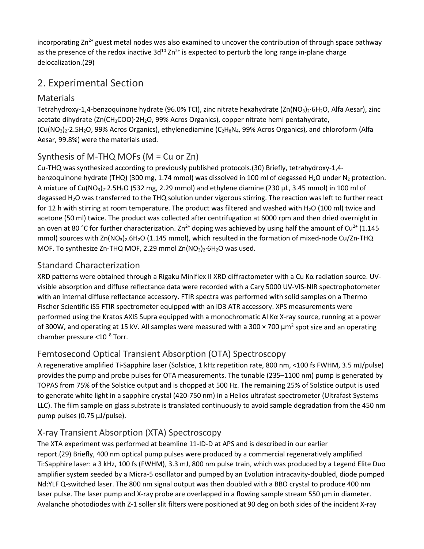incorporating  $Zn^{2+}$  guest metal nodes was also examined to uncover the contribution of through space pathway as the presence of the redox inactive  $3d^{10} Zn^{2+}$  is expected to perturb the long range in-plane charge delocalization.(29)

# 2. Experimental Section

#### Materials

Tetrahydroxy-1,4-benzoquinone hydrate (96.0% TCI), zinc nitrate hexahydrate (Zn(NO<sub>3</sub>)<sub>2</sub>·6H<sub>2</sub>O, Alfa Aesar), zinc acetate dihydrate (Zn(CH<sub>3</sub>COO)·2H<sub>2</sub>O, 99% Acros Organics), copper nitrate hemi pentahydrate, (Cu(NO3)2·2.5H2O, 99% Acros Organics), ethylenediamine (C2H8N4, 99% Acros Organics), and chloroform (Alfa Aesar, 99.8%) were the materials used.

#### Synthesis of M-THQ MOFs (M = Cu or Zn)

Cu-THQ was synthesized according to previously published protocols.(30) Briefly, tetrahydroxy-1,4 benzoquinone hydrate (THQ) (300 mg, 1.74 mmol) was dissolved in 100 ml of degassed H<sub>2</sub>O under N<sub>2</sub> protection. A mixture of  $Cu(NO<sub>3</sub>)<sub>2</sub>·2.5H<sub>2</sub>O$  (532 mg, 2.29 mmol) and ethylene diamine (230  $\mu$ L, 3.45 mmol) in 100 ml of degassed H2O was transferred to the THQ solution under vigorous stirring. The reaction was left to further react for 12 h with stirring at room temperature. The product was filtered and washed with H<sub>2</sub>O (100 ml) twice and acetone (50 ml) twice. The product was collected after centrifugation at 6000 rpm and then dried overnight in an oven at 80 °C for further characterization.  $Zn^{2+}$  doping was achieved by using half the amount of Cu<sup>2+</sup> (1.145 mmol) sources with Zn(NO<sub>3</sub>)<sub>2</sub>.6H<sub>2</sub>O (1.145 mmol), which resulted in the formation of mixed-node Cu/Zn-THQ MOF. To synthesize Zn-THQ MOF, 2.29 mmol Zn(NO<sub>3</sub>)<sub>2</sub>·6H<sub>2</sub>O was used.

#### Standard Characterization

XRD patterns were obtained through a Rigaku Miniflex II XRD diffractometer with a Cu Kα radiation source. UVvisible absorption and diffuse reflectance data were recorded with a Cary 5000 UV-VIS-NIR spectrophotometer with an internal diffuse reflectance accessory. FTIR spectra was performed with solid samples on a Thermo Fischer Scientific iS5 FTIR spectrometer equipped with an iD3 ATR accessory. XPS measurements were performed using the Kratos AXIS Supra equipped with a monochromatic Al Kα X-ray source, running at a power of 300W, and operating at 15 kV. All samples were measured with a 300  $\times$  700  $\mu$ m<sup>2</sup> spot size and an operating chamber pressure <10–8 Torr.

#### Femtosecond Optical Transient Absorption (OTA) Spectroscopy

A regenerative amplified Ti-Sapphire laser (Solstice, 1 kHz repetition rate, 800 nm, <100 fs FWHM, 3.5 mJ/pulse) provides the pump and probe pulses for OTA measurements. The tunable (235–1100 nm) pump is generated by TOPAS from 75% of the Solstice output and is chopped at 500 Hz. The remaining 25% of Solstice output is used to generate white light in a sapphire crystal (420-750 nm) in a Helios ultrafast spectrometer (Ultrafast Systems LLC). The film sample on glass substrate is translated continuously to avoid sample degradation from the 450 nm pump pulses (0.75 μJ/pulse).

## X-ray Transient Absorption (XTA) Spectroscopy

The XTA experiment was performed at beamline 11-ID-D at APS and is described in our earlier report.(29) Briefly, 400 nm optical pump pulses were produced by a commercial regeneratively amplified Ti:Sapphire laser: a 3 kHz, 100 fs (FWHM), 3.3 mJ, 800 nm pulse train, which was produced by a Legend Elite Duo amplifier system seeded by a Micra-5 oscillator and pumped by an Evolution intracavity-doubled, diode pumped Nd:YLF Q-switched laser. The 800 nm signal output was then doubled with a BBO crystal to produce 400 nm laser pulse. The laser pump and X-ray probe are overlapped in a flowing sample stream 550 μm in diameter. Avalanche photodiodes with Z-1 soller slit filters were positioned at 90 deg on both sides of the incident X-ray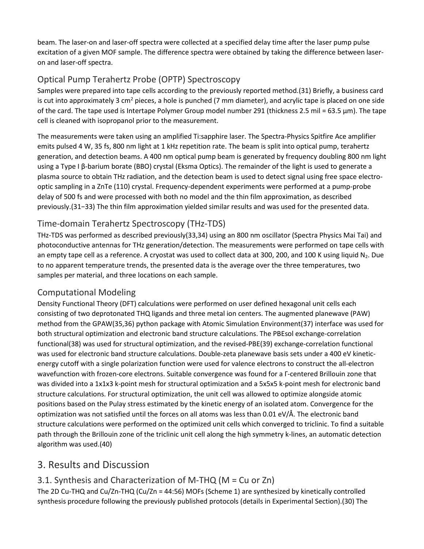beam. The laser-on and laser-off spectra were collected at a specified delay time after the laser pump pulse excitation of a given MOF sample. The difference spectra were obtained by taking the difference between laseron and laser-off spectra.

#### Optical Pump Terahertz Probe (OPTP) Spectroscopy

Samples were prepared into tape cells according to the previously reported method.(31) Briefly, a business card is cut into approximately 3 cm<sup>2</sup> pieces, a hole is punched (7 mm diameter), and acrylic tape is placed on one side of the card. The tape used is Intertape Polymer Group model number 291 (thickness 2.5 mil = 63.5 μm). The tape cell is cleaned with isopropanol prior to the measurement.

The measurements were taken using an amplified Ti:sapphire laser. The Spectra-Physics Spitfire Ace amplifier emits pulsed 4 W, 35 fs, 800 nm light at 1 kHz repetition rate. The beam is split into optical pump, terahertz generation, and detection beams. A 400 nm optical pump beam is generated by frequency doubling 800 nm light using a Type I β-barium borate (BBO) crystal (Eksma Optics). The remainder of the light is used to generate a plasma source to obtain THz radiation, and the detection beam is used to detect signal using free space electrooptic sampling in a ZnTe (110) crystal. Frequency-dependent experiments were performed at a pump-probe delay of 500 fs and were processed with both no model and the thin film approximation, as described previously.(31−33) The thin film approximation yielded similar results and was used for the presented data.

#### Time-domain Terahertz Spectroscopy (THz-TDS)

THz-TDS was performed as described previously(33,34) using an 800 nm oscillator (Spectra Physics Mai Tai) and photoconductive antennas for THz generation/detection. The measurements were performed on tape cells with an empty tape cell as a reference. A cryostat was used to collect data at 300, 200, and 100 K using liquid  $N_2$ . Due to no apparent temperature trends, the presented data is the average over the three temperatures, two samples per material, and three locations on each sample.

#### Computational Modeling

Density Functional Theory (DFT) calculations were performed on user defined hexagonal unit cells each consisting of two deprotonated THQ ligands and three metal ion centers. The augmented planewave (PAW) method from the GPAW(35,36) python package with Atomic Simulation Environment(37) interface was used for both structural optimization and electronic band structure calculations. The PBEsol exchange-correlation functional(38) was used for structural optimization, and the revised-PBE(39) exchange-correlation functional was used for electronic band structure calculations. Double-zeta planewave basis sets under a 400 eV kineticenergy cutoff with a single polarization function were used for valence electrons to construct the all-electron wavefunction with frozen-core electrons. Suitable convergence was found for a Γ-centered Brillouin zone that was divided into a 1x1x3 k-point mesh for structural optimization and a 5x5x5 k-point mesh for electronic band structure calculations. For structural optimization, the unit cell was allowed to optimize alongside atomic positions based on the Pulay stress estimated by the kinetic energy of an isolated atom. Convergence for the optimization was not satisfied until the forces on all atoms was less than 0.01 eV/Å. The electronic band structure calculations were performed on the optimized unit cells which converged to triclinic. To find a suitable path through the Brillouin zone of the triclinic unit cell along the high symmetry k-lines, an automatic detection algorithm was used.(40)

# 3. Results and Discussion

#### 3.1. Synthesis and Characterization of M-THQ (M = Cu or Zn)

The 2D Cu-THQ and Cu/Zn-THQ (Cu/Zn = 44:56) MOFs (Scheme 1) are synthesized by kinetically controlled synthesis procedure following the previously published protocols (details in Experimental Section).(30) The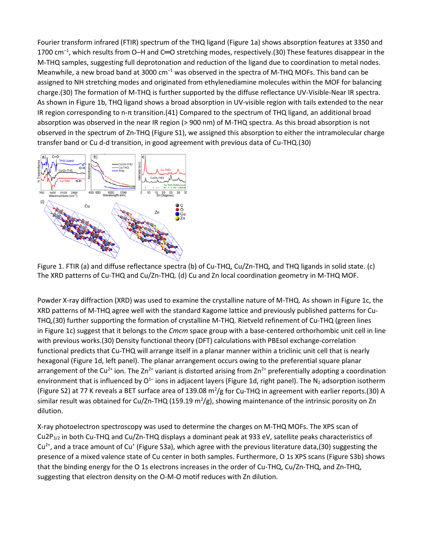Fourier transform infrared (FTIR) spectrum of the THQ ligand (Figure 1a) shows absorption features at 3350 and 1700 cm<sup>-1</sup>, which results from O-H and C=O stretching modes, respectively.(30) These features disappear in the M-THQ samples, suggesting full deprotonation and reduction of the ligand due to coordination to metal nodes. Meanwhile, a new broad band at 3000  $cm^{-1}$  was observed in the spectra of M-THQ MOFs. This band can be assigned to NH stretching modes and originated from ethylenediamine molecules within the MOF for balancing charge.(30) The formation of M-THQ is further supported by the diffuse reflectance UV-Visible-Near IR spectra. As shown in Figure 1b, THQ ligand shows a broad absorption in UV-visible region with tails extended to the near IR region corresponding to n-π transition.(41) Compared to the spectrum of THQ ligand, an additional broad absorption was observed in the near IR region (> 900 nm) of M-THQ spectra. As this broad absorption is not observed in the spectrum of Zn-THQ (Figure S1), we assigned this absorption to either the intramolecular charge transfer band or Cu d-d transition, in good agreement with previous data of Cu-THQ.(30)



Figure 1. FTIR (a) and diffuse reflectance spectra (b) of Cu-THQ, Cu/Zn-THQ, and THQ ligands in solid state. (c) The XRD patterns of Cu-THQ and Cu/Zn-THQ. (d) Cu and Zn local coordination geometry in M-THQ MOF.

Powder X-ray diffraction (XRD) was used to examine the crystalline nature of M-THQ. As shown in Figure 1c, the XRD patterns of M-THQ agree well with the standard Kagome lattice and previously published patterns for Cu-THQ,(30) further supporting the formation of crystalline M-THQ. Rietveld refinement of Cu-THQ (green lines in Figure 1c) suggest that it belongs to the *Cmcm* space group with a base-centered orthorhombic unit cell in line with previous works.(30) Density functional theory (DFT) calculations with PBEsol exchange-correlation functional predicts that Cu-THQ will arrange itself in a planar manner within a triclinic unit cell that is nearly hexagonal (Figure 1d, left panel). The planar arrangement occurs owing to the preferential square planar arrangement of the Cu<sup>2+</sup> ion. The Zn<sup>2+</sup> variant is distorted arising from Zn<sup>2+</sup> preferentially adopting a coordination environment that is influenced by  $O^{1-}$  ions in adjacent layers (Figure 1d, right panel). The N<sub>2</sub> adsorption isotherm (Figure S2) at 77 K reveals a BET surface area of 139.08  $m^2/g$  for Cu-THQ in agreement with earlier reports.(30) A similar result was obtained for Cu/Zn-THQ (159.19 m<sup>2</sup>/g), showing maintenance of the intrinsic porosity on Zn dilution.

X-ray photoelectron spectroscopy was used to determine the charges on M-THQ MOFs. The XPS scan of  $Cu2P_{3/2}$  in both Cu-THQ and Cu/Zn-THQ displays a dominant peak at 933 eV, satellite peaks characteristics of  $Cu^{2+}$ , and a trace amount of Cu<sup>+</sup> (Figure S3a), which agree with the previous literature data,(30) suggesting the presence of a mixed valence state of Cu center in both samples. Furthermore, O 1s XPS scans (Figure S3b) shows that the binding energy for the O 1s electrons increases in the order of Cu-THQ, Cu/Zn-THQ, and Zn-THQ, suggesting that electron density on the O-M-O motif reduces with Zn dilution.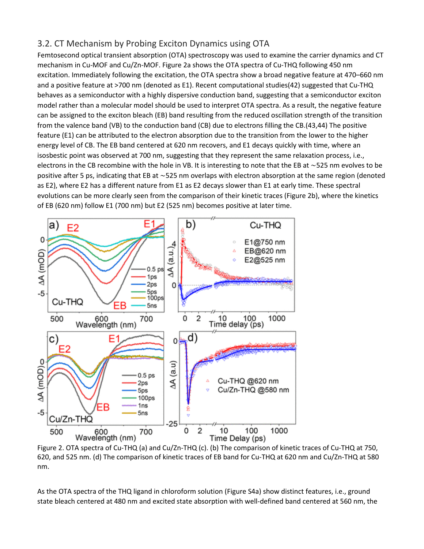#### 3.2. CT Mechanism by Probing Exciton Dynamics using OTA

Femtosecond optical transient absorption (OTA) spectroscopy was used to examine the carrier dynamics and CT mechanism in Cu-MOF and Cu/Zn-MOF. Figure 2a shows the OTA spectra of Cu-THQ following 450 nm excitation. Immediately following the excitation, the OTA spectra show a broad negative feature at 470–660 nm and a positive feature at >700 nm (denoted as E1). Recent computational studies(42) suggested that Cu-THQ behaves as a semiconductor with a highly dispersive conduction band, suggesting that a semiconductor exciton model rather than a molecular model should be used to interpret OTA spectra. As a result, the negative feature can be assigned to the exciton bleach (EB) band resulting from the reduced oscillation strength of the transition from the valence band (VB) to the conduction band (CB) due to electrons filling the CB.(43,44) The positive feature (E1) can be attributed to the electron absorption due to the transition from the lower to the higher energy level of CB. The EB band centered at 620 nm recovers, and E1 decays quickly with time, where an isosbestic point was observed at 700 nm, suggesting that they represent the same relaxation process, i.e., electrons in the CB recombine with the hole in VB. It is interesting to note that the EB at ∼525 nm evolves to be positive after 5 ps, indicating that EB at ∼525 nm overlaps with electron absorption at the same region (denoted as E2), where E2 has a different nature from E1 as E2 decays slower than E1 at early time. These spectral evolutions can be more clearly seen from the comparison of their kinetic traces (Figure 2b), where the kinetics of EB (620 nm) follow E1 (700 nm) but E2 (525 nm) becomes positive at later time.



Figure 2. OTA spectra of Cu-THQ (a) and Cu/Zn-THQ (c). (b) The comparison of kinetic traces of Cu-THQ at 750, 620, and 525 nm. (d) The comparison of kinetic traces of EB band for Cu-THQ at 620 nm and Cu/Zn-THQ at 580 nm.

As the OTA spectra of the THQ ligand in chloroform solution (Figure S4a) show distinct features, i.e., ground state bleach centered at 480 nm and excited state absorption with well-defined band centered at 560 nm, the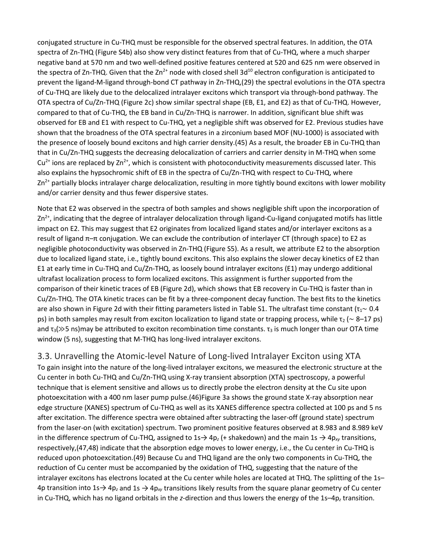conjugated structure in Cu-THQ must be responsible for the observed spectral features. In addition, the OTA spectra of Zn-THQ (Figure S4b) also show very distinct features from that of Cu-THQ, where a much sharper negative band at 570 nm and two well-defined positive features centered at 520 and 625 nm were observed in the spectra of Zn-THQ. Given that the  $Zn^{2+}$  node with closed shell 3d<sup>10</sup> electron configuration is anticipated to prevent the ligand-M-ligand through-bond CT pathway in Zn-THQ,(29) the spectral evolutions in the OTA spectra of Cu-THQ are likely due to the delocalized intralayer excitons which transport via through-bond pathway. The OTA spectra of Cu/Zn-THQ (Figure 2c) show similar spectral shape (EB, E1, and E2) as that of Cu-THQ. However, compared to that of Cu-THQ, the EB band in Cu/Zn-THQ is narrower. In addition, significant blue shift was observed for EB and E1 with respect to Cu-THQ, yet a negligible shift was observed for E2. Previous studies have shown that the broadness of the OTA spectral features in a zirconium based MOF (NU-1000) is associated with the presence of loosely bound excitons and high carrier density.(45) As a result, the broader EB in Cu-THQ than that in Cu/Zn-THQ suggests the decreasing delocalization of carriers and carrier density in M-THQ when some  $Cu<sup>2+</sup>$  ions are replaced by Zn<sup>2+</sup>, which is consistent with photoconductivity measurements discussed later. This also explains the hypsochromic shift of EB in the spectra of Cu/Zn-THQ with respect to Cu-THQ, where  $Zn^{2+}$  partially blocks intralayer charge delocalization, resulting in more tightly bound excitons with lower mobility and/or carrier density and thus fewer dispersive states.

Note that E2 was observed in the spectra of both samples and shows negligible shift upon the incorporation of  $Zn^{2+}$ , indicating that the degree of intralayer delocalization through ligand-Cu-ligand conjugated motifs has little impact on E2. This may suggest that E2 originates from localized ligand states and/or interlayer excitons as a result of ligand π–π conjugation. We can exclude the contribution of interlayer CT (through space) to E2 as negligible photoconductivity was observed in Zn-THQ (Figure S5). As a result, we attribute E2 to the absorption due to localized ligand state, i.e., tightly bound excitons. This also explains the slower decay kinetics of E2 than E1 at early time in Cu-THQ and Cu/Zn-THQ, as loosely bound intralayer excitons (E1) may undergo additional ultrafast localization process to form localized excitons. This assignment is further supported from the comparison of their kinetic traces of EB (Figure 2d), which shows that EB recovery in Cu-THQ is faster than in Cu/Zn-THQ. The OTA kinetic traces can be fit by a three-component decay function. The best fits to the kinetics are also shown in Figure 2d with their fitting parameters listed in Table S1. The ultrafast time constant ( $\tau_1 \sim 0.4$ ) ps) in both samples may result from exciton localization to ligand state or trapping process, while  $\tau_2$  (~ 8–17 ps) and  $\tau_3$ ( $\gg$ 5 ns)may be attributed to exciton recombination time constants.  $\tau_3$  is much longer than our OTA time window (5 ns), suggesting that M-THQ has long-lived intralayer excitons.

#### 3.3. Unravelling the Atomic-level Nature of Long-lived Intralayer Exciton using XTA

To gain insight into the nature of the long-lived intralayer excitons, we measured the electronic structure at the Cu center in both Cu-THQ and Cu/Zn-THQ using X-ray transient absorption (XTA) spectroscopy, a powerful technique that is element sensitive and allows us to directly probe the electron density at the Cu site upon photoexcitation with a 400 nm laser pump pulse.(46)Figure 3a shows the ground state X-ray absorption near edge structure (XANES) spectrum of Cu-THQ as well as its XANES difference spectra collected at 100 ps and 5 ns after excitation. The difference spectra were obtained after subtracting the laser-off (ground state) spectrum from the laser-on (with excitation) spectrum. Two prominent positive features observed at 8.983 and 8.989 keV in the difference spectrum of Cu-THQ, assigned to  $1s\rightarrow 4p_z$  (+ shakedown) and the main  $1s\rightarrow 4p_{xy}$  transitions, respectively,(47,48) indicate that the absorption edge moves to lower energy, i.e., the Cu center in Cu-THQ is reduced upon photoexcitation.(49) Because Cu and THQ ligand are the only two components in Cu-THQ, the reduction of Cu center must be accompanied by the oxidation of THQ, suggesting that the nature of the intralayer excitons has electrons located at the Cu center while holes are located at THQ. The splitting of the 1s– 4p transition into 1s→ 4p*<sup>z</sup>* and 1s → 4p*xy* transitions likely results from the square planar geometry of Cu center in Cu-THQ, which has no ligand orbitals in the *z*-direction and thus lowers the energy of the 1s–4p*<sup>z</sup>* transition.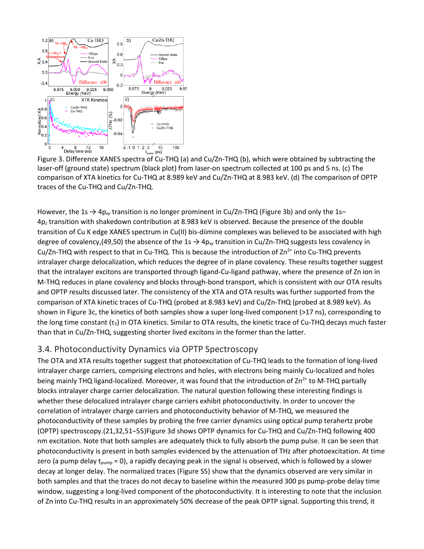

Figure 3. Difference XANES spectra of Cu-THQ (a) and Cu/Zn-THQ (b), which were obtained by subtracting the laser-off (ground state) spectrum (black plot) from laser-on spectrum collected at 100 ps and 5 ns. (c) The comparison of XTA kinetics for Cu-THQ at 8.989 keV and Cu/Zn-THQ at 8.983 keV. (d) The comparison of OPTP traces of the Cu-THQ and Cu/Zn-THQ.

However, the 1s → 4p*xy* transition is no longer prominent in Cu/Zn-THQ (Figure 3b) and only the 1s– 4p*<sup>z</sup>* transition with shakedown contribution at 8.983 keV is observed. Because the presence of the double transition of Cu K edge XANES spectrum in Cu(II) bis-diimine complexes was believed to be associated with high degree of covalency,(49,50) the absence of the 1s  $\rightarrow$  4p<sub>*xy*</sub> transition in Cu/Zn-THQ suggests less covalency in Cu/Zn-THQ with respect to that in Cu-THQ. This is because the introduction of  $Zn^{2+}$  into Cu-THQ prevents intralayer charge delocalization, which reduces the degree of in plane covalency. These results together suggest that the intralayer excitons are transported through ligand-Cu-ligand pathway, where the presence of Zn ion in M-THQ reduces in plane covalency and blocks through-bond transport, which is consistent with our OTA results and OPTP results discussed later. The consistency of the XTA and OTA results was further supported from the comparison of XTA kinetic traces of Cu-THQ (probed at 8.983 keV) and Cu/Zn-THQ (probed at 8.989 keV). As shown in Figure 3c, the kinetics of both samples show a super long-lived component (>17 ns), corresponding to the long time constant ( $\tau_3$ ) in OTA kinetics. Similar to OTA results, the kinetic trace of Cu-THQ decays much faster than that in Cu/Zn-THQ, suggesting shorter lived excitons in the former than the latter.

#### 3.4. Photoconductivity Dynamics via OPTP Spectroscopy

The OTA and XTA results together suggest that photoexcitation of Cu-THQ leads to the formation of long-lived intralayer charge carriers, comprising electrons and holes, with electrons being mainly Cu-localized and holes being mainly THQ ligand-localized. Moreover, it was found that the introduction of  $\text{Zn}^2$  to M-THQ partially blocks intralayer charge carrier delocalization. The natural question following these interesting findings is whether these delocalized intralayer charge carriers exhibit photoconductivity. In order to uncover the correlation of intralayer charge carriers and photoconductivity behavior of M-THQ, we measured the photoconductivity of these samples by probing the free carrier dynamics using optical pump terahertz probe (OPTP) spectroscopy.(21,32,51−55)Figure 3d shows OPTP dynamics for Cu-THQ and Cu/Zn-THQ following 400 nm excitation. Note that both samples are adequately thick to fully absorb the pump pulse. It can be seen that photoconductivity is present in both samples evidenced by the attenuation of THz after photoexcitation. At time zero (a pump delay  $t_{pump} = 0$ ), a rapidly decaying peak in the signal is observed, which is followed by a slower decay at longer delay. The normalized traces (Figure S5) show that the dynamics observed are very similar in both samples and that the traces do not decay to baseline within the measured 300 ps pump-probe delay time window, suggesting a long-lived component of the photoconductivity. It is interesting to note that the inclusion of Zn into Cu-THQ results in an approximately 50% decrease of the peak OPTP signal. Supporting this trend, it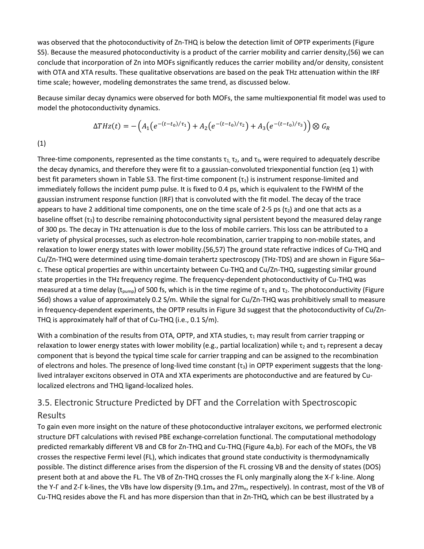was observed that the photoconductivity of Zn-THQ is below the detection limit of OPTP experiments (Figure S5). Because the measured photoconductivity is a product of the carrier mobility and carrier density,(56) we can conclude that incorporation of Zn into MOFs significantly reduces the carrier mobility and/or density, consistent with OTA and XTA results. These qualitative observations are based on the peak THz attenuation within the IRF time scale; however, modeling demonstrates the same trend, as discussed below.

Because similar decay dynamics were observed for both MOFs, the same multiexponential fit model was used to model the photoconductivity dynamics.

$$
\Delta THz(t) = -\left(A_1\left(e^{-(t-t_0)/\tau_1}\right) + A_2\left(e^{-(t-t_0)/\tau_2}\right) + A_3\left(e^{-(t-t_0)/\tau_3}\right)\right) \otimes G_R
$$

(1)

Three-time components, represented as the time constants  $\tau_1$ ,  $\tau_2$ , and  $\tau_3$ , were required to adequately describe the decay dynamics, and therefore they were fit to a gaussian-convoluted triexponential function (eq 1) with best fit parameters shown in Table S3. The first-time component  $(\tau_1)$  is instrument response-limited and immediately follows the incident pump pulse. It is fixed to 0.4 ps, which is equivalent to the FWHM of the gaussian instrument response function (IRF) that is convoluted with the fit model. The decay of the trace appears to have 2 additional time components, one on the time scale of 2-5 ps ( $\tau_2$ ) and one that acts as a baseline offset  $(\tau_3)$  to describe remaining photoconductivity signal persistent beyond the measured delay range of 300 ps. The decay in THz attenuation is due to the loss of mobile carriers. This loss can be attributed to a variety of physical processes, such as electron-hole recombination, carrier trapping to non-mobile states, and relaxation to lower energy states with lower mobility.(56,57) The ground state refractive indices of Cu-THQ and Cu/Zn-THQ were determined using time-domain terahertz spectroscopy (THz-TDS) and are shown in Figure S6a– c. These optical properties are within uncertainty between Cu-THQ and Cu/Zn-THQ, suggesting similar ground state properties in the THz frequency regime. The frequency-dependent photoconductivity of Cu-THQ was measured at a time delay (t<sub>pump</sub>) of 500 fs, which is in the time regime of  $\tau_1$  and  $\tau_2$ . The photoconductivity (Figure S6d) shows a value of approximately 0.2 S/m. While the signal for Cu/Zn-THQ was prohibitively small to measure in frequency-dependent experiments, the OPTP results in Figure 3d suggest that the photoconductivity of Cu/Zn-THQ is approximately half of that of Cu-THQ (i.e., 0.1 S/m).

With a combination of the results from OTA, OPTP, and XTA studies,  $\tau_1$  may result from carrier trapping or relaxation to lower energy states with lower mobility (e.g., partial localization) while  $\tau_2$  and  $\tau_3$  represent a decay component that is beyond the typical time scale for carrier trapping and can be assigned to the recombination of electrons and holes. The presence of long-lived time constant  $(\tau_3)$  in OPTP experiment suggests that the longlived intralayer excitons observed in OTA and XTA experiments are photoconductive and are featured by Culocalized electrons and THQ ligand-localized holes.

# 3.5. Electronic Structure Predicted by DFT and the Correlation with Spectroscopic

#### Results

To gain even more insight on the nature of these photoconductive intralayer excitons, we performed electronic structure DFT calculations with revised PBE exchange-correlation functional. The computational methodology predicted remarkably different VB and CB for Zn-THQ and Cu-THQ (Figure 4a,b). For each of the MOFs, the VB crosses the respective Fermi level (FL), which indicates that ground state conductivity is thermodynamically possible. The distinct difference arises from the dispersion of the FL crossing VB and the density of states (DOS) present both at and above the FL. The VB of Zn-THQ crosses the FL only marginally along the X-Γ k-line. Along the Y-Γ and Z-Γ k-lines, the VBs have low dispersity (9.1me and 27me, respectively). In contrast, most of the VB of Cu-THQ resides above the FL and has more dispersion than that in Zn-THQ, which can be best illustrated by a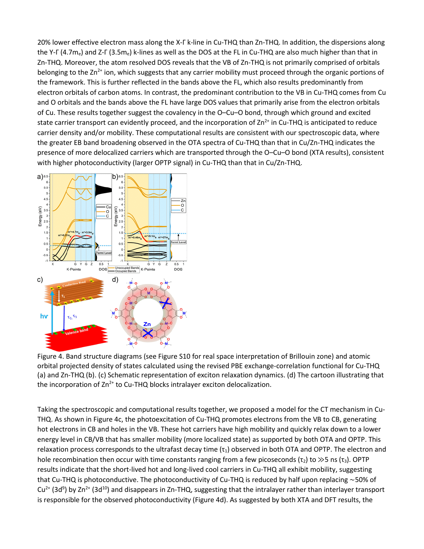20% lower effective electron mass along the X-Γ k-line in Cu-THQ than Zn-THQ. In addition, the dispersions along the Y-Γ (4.7m<sub>e</sub>) and Z-Γ (3.5m<sub>e</sub>) k-lines as well as the DOS at the FL in Cu-THQ are also much higher than that in Zn-THQ. Moreover, the atom resolved DOS reveals that the VB of Zn-THQ is not primarily comprised of orbitals belonging to the Zn<sup>2+</sup> ion, which suggests that any carrier mobility must proceed through the organic portions of the framework. This is further reflected in the bands above the FL, which also results predominantly from electron orbitals of carbon atoms. In contrast, the predominant contribution to the VB in Cu-THQ comes from Cu and O orbitals and the bands above the FL have large DOS values that primarily arise from the electron orbitals of Cu. These results together suggest the covalency in the O–Cu–O bond, through which ground and excited state carrier transport can evidently proceed, and the incorporation of  $Zn^{2+}$  in Cu-THQ is anticipated to reduce carrier density and/or mobility. These computational results are consistent with our spectroscopic data, where the greater EB band broadening observed in the OTA spectra of Cu-THQ than that in Cu/Zn-THQ indicates the presence of more delocalized carriers which are transported through the O–Cu–O bond (XTA results), consistent with higher photoconductivity (larger OPTP signal) in Cu-THQ than that in Cu/Zn-THQ.



Figure 4. Band structure diagrams (see Figure S10 for real space interpretation of Brillouin zone) and atomic orbital projected density of states calculated using the revised PBE exchange-correlation functional for Cu-THQ (a) and Zn-THQ (b). (c) Schematic representation of exciton relaxation dynamics. (d) The cartoon illustrating that the incorporation of  $Zn^{2+}$  to Cu-THQ blocks intralayer exciton delocalization.

Taking the spectroscopic and computational results together, we proposed a model for the CT mechanism in Cu-THQ. As shown in Figure 4c, the photoexcitation of Cu-THQ promotes electrons from the VB to CB, generating hot electrons in CB and holes in the VB. These hot carriers have high mobility and quickly relax down to a lower energy level in CB/VB that has smaller mobility (more localized state) as supported by both OTA and OPTP. This relaxation process corresponds to the ultrafast decay time  $(\tau_1)$  observed in both OTA and OPTP. The electron and hole recombination then occur with time constants ranging from a few picoseconds ( $\tau_2$ ) to  $\gg$ 5 ns ( $\tau_3$ ). OPTP results indicate that the short-lived hot and long-lived cool carriers in Cu-THQ all exhibit mobility, suggesting that Cu-THQ is photoconductive. The photoconductivity of Cu-THQ is reduced by half upon replacing ∼50% of  $Cu^{2+}$  (3d<sup>9</sup>) by Zn<sup>2+</sup> (3d<sup>10</sup>) and disappears in Zn-THQ, suggesting that the intralayer rather than interlayer transport is responsible for the observed photoconductivity (Figure 4d). As suggested by both XTA and DFT results, the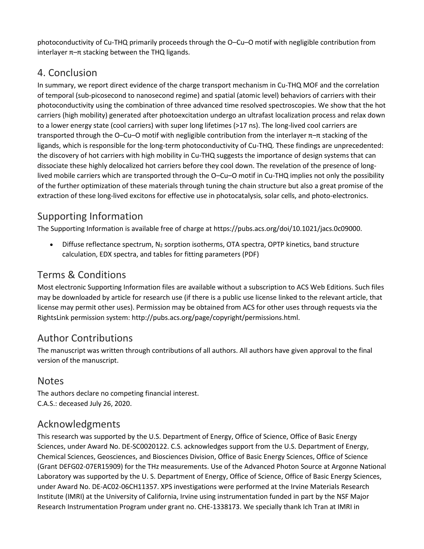photoconductivity of Cu-THQ primarily proceeds through the O–Cu–O motif with negligible contribution from interlayer  $\pi$ – $\pi$  stacking between the THQ ligands.

# 4. Conclusion

In summary, we report direct evidence of the charge transport mechanism in Cu-THQ MOF and the correlation of temporal (sub-picosecond to nanosecond regime) and spatial (atomic level) behaviors of carriers with their photoconductivity using the combination of three advanced time resolved spectroscopies. We show that the hot carriers (high mobility) generated after photoexcitation undergo an ultrafast localization process and relax down to a lower energy state (cool carriers) with super long lifetimes (>17 ns). The long-lived cool carriers are transported through the O–Cu–O motif with negligible contribution from the interlayer π–π stacking of the ligands, which is responsible for the long-term photoconductivity of Cu-THQ. These findings are unprecedented: the discovery of hot carriers with high mobility in Cu-THQ suggests the importance of design systems that can dissociate these highly delocalized hot carriers before they cool down. The revelation of the presence of longlived mobile carriers which are transported through the O–Cu–O motif in Cu-THQ implies not only the possibility of the further optimization of these materials through tuning the chain structure but also a great promise of the extraction of these long-lived excitons for effective use in photocatalysis, solar cells, and photo-electronics.

# Supporting Information

The Supporting Information is available free of charge at https://pubs.acs.org/doi/10.1021/jacs.0c09000.

• Diffuse reflectance spectrum, N2 sorption isotherms, OTA spectra, OPTP kinetics, band structure calculation, EDX spectra, and tables for fitting parameters (PDF)

# Terms & Conditions

Most electronic Supporting Information files are available without a subscription to ACS Web Editions. Such files may be downloaded by article for research use (if there is a public use license linked to the relevant article, that license may permit other uses). Permission may be obtained from ACS for other uses through requests via the RightsLink permission system: http://pubs.acs.org/page/copyright/permissions.html.

# Author Contributions

The manuscript was written through contributions of all authors. All authors have given approval to the final version of the manuscript.

# Notes

The authors declare no competing financial interest. C.A.S.: deceased July 26, 2020.

# Acknowledgments

This research was supported by the U.S. Department of Energy, Office of Science, Office of Basic Energy Sciences, under Award No. DE-SC0020122. C.S. acknowledges support from the U.S. Department of Energy, Chemical Sciences, Geosciences, and Biosciences Division, Office of Basic Energy Sciences, Office of Science (Grant DEFG02-07ER15909) for the THz measurements. Use of the Advanced Photon Source at Argonne National Laboratory was supported by the U. S. Department of Energy, Office of Science, Office of Basic Energy Sciences, under Award No. DE-AC02-06CH11357. XPS investigations were performed at the Irvine Materials Research Institute (IMRI) at the University of California, Irvine using instrumentation funded in part by the NSF Major Research Instrumentation Program under grant no. CHE-1338173. We specially thank Ich Tran at IMRI in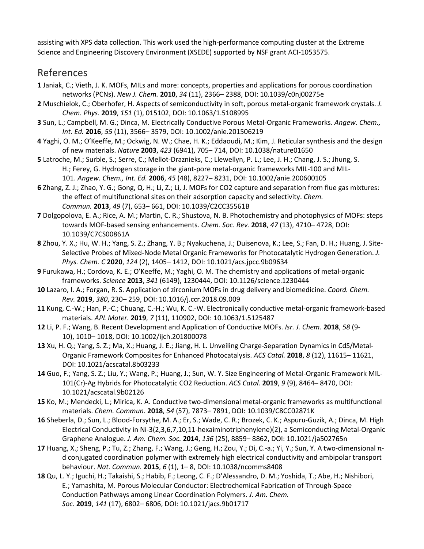assisting with XPS data collection. This work used the high-performance computing cluster at the Extreme Science and Engineering Discovery Environment (XSEDE) supported by NSF grant ACI-1053575.

#### References

- **1** Janiak, C.; Vieth, J. K. MOFs, MILs and more: concepts, properties and applications for porous coordination networks (PCNs). *New J. Chem.* **2010**, *34* (11), 2366– 2388, DOI: 10.1039/c0nj00275e
- **2** Muschielok, C.; Oberhofer, H. Aspects of semiconductivity in soft, porous metal-organic framework crystals. *J. Chem. Phys.* **2019**, *151* (1), 015102, DOI: 10.1063/1.5108995
- **3** Sun, L.; Campbell, M. G.; Dinca, M. Electrically Conductive Porous Metal-Organic Frameworks. *Angew. Chem., Int. Ed.* **2016**, *55* (11), 3566– 3579, DOI: 10.1002/anie.201506219
- **4** Yaghi, O. M.; O'Keeffe, M.; Ockwig, N. W.; Chae, H. K.; Eddaoudi, M.; Kim, J. Reticular synthesis and the design of new materials. *Nature* **2003**, *423* (6941), 705– 714, DOI: 10.1038/nature01650
- **5** Latroche, M.; Surble, S.; Serre, C.; Mellot-Draznieks, C.; Llewellyn, P. L.; Lee, J. H.; Chang, J. S.; Jhung, S. H.; Ferey, G. Hydrogen storage in the giant-pore metal-organic frameworks MIL-100 and MIL-101. *Angew. Chem., Int. Ed.* **2006**, *45* (48), 8227– 8231, DOI: 10.1002/anie.200600105
- **6** Zhang, Z. J.; Zhao, Y. G.; Gong, Q. H.; Li, Z.; Li, J. MOFs for CO2 capture and separation from flue gas mixtures: the effect of multifunctional sites on their adsorption capacity and selectivity. *Chem. Commun.* **2013**, *49* (7), 653– 661, DOI: 10.1039/C2CC35561B
- **7** Dolgopolova, E. A.; Rice, A. M.; Martin, C. R.; Shustova, N. B. Photochemistry and photophysics of MOFs: steps towards MOF-based sensing enhancements. *Chem. Soc. Rev.* **2018**, *47* (13), 4710– 4728, DOI: 10.1039/C7CS00861A
- **8** Zhou, Y. X.; Hu, W. H.; Yang, S. Z.; Zhang, Y. B.; Nyakuchena, J.; Duisenova, K.; Lee, S.; Fan, D. H.; Huang, J. Site-Selective Probes of Mixed-Node Metal Organic Frameworks for Photocatalytic Hydrogen Generation. *J. Phys. Chem. C* **2020**, *124* (2), 1405– 1412, DOI: 10.1021/acs.jpcc.9b09634
- **9** Furukawa, H.; Cordova, K. E.; O'Keeffe, M.; Yaghi, O. M. The chemistry and applications of metal-organic frameworks. *Science* **2013**, *341* (6149), 1230444, DOI: 10.1126/science.1230444
- **10** Lazaro, I. A.; Forgan, R. S. Application of zirconium MOFs in drug delivery and biomedicine. *Coord. Chem. Rev.* **2019**, *380*, 230– 259, DOI: 10.1016/j.ccr.2018.09.009
- **11** Kung, C.-W.; Han, P.-C.; Chuang, C.-H.; Wu, K. C.-W. Electronically conductive metal-organic framework-based materials. *APL Mater.* **2019**, *7* (11), 110902, DOI: 10.1063/1.5125487
- **12** Li, P. F.; Wang, B. Recent Development and Application of Conductive MOFs. *Isr. J. Chem.* **2018**, *58* (9- 10), 1010– 1018, DOI: 10.1002/ijch.201800078
- **13** Xu, H. Q.; Yang, S. Z.; Ma, X.; Huang, J. E.; Jiang, H. L. Unveiling Charge-Separation Dynamics in CdS/Metal-Organic Framework Composites for Enhanced Photocatalysis. *ACS Catal.* **2018**, *8* (12), 11615– 11621, DOI: 10.1021/acscatal.8b03233
- **14** Guo, F.; Yang, S. Z.; Liu, Y.; Wang, P.; Huang, J.; Sun, W. Y. Size Engineering of Metal-Organic Framework MIL-101(Cr)-Ag Hybrids for Photocatalytic CO2 Reduction. *ACS Catal.* **2019**, *9* (9), 8464– 8470, DOI: 10.1021/acscatal.9b02126
- **15** Ko, M.; Mendecki, L.; Mirica, K. A. Conductive two-dimensional metal-organic frameworks as multifunctional materials. *Chem. Commun.* **2018**, *54* (57), 7873– 7891, DOI: 10.1039/C8CC02871K
- **16** Sheberla, D.; Sun, L.; Blood-Forsythe, M. A.; Er, S.; Wade, C. R.; Brozek, C. K.; Aspuru-Guzik, A.; Dinca, M. High Electrical Conductivity in Ni-3(2,3,6,7,10,11-hexaiminotriphenylene)(2), a Semiconducting Metal-Organic Graphene Analogue. *J. Am. Chem. Soc.* **2014**, *136* (25), 8859– 8862, DOI: 10.1021/ja502765n
- **17** Huang, X.; Sheng, P.; Tu, Z.; Zhang, F.; Wang, J.; Geng, H.; Zou, Y.; Di, C.-a.; Yi, Y.; Sun, Y. A two-dimensional πd conjugated coordination polymer with extremely high electrical conductivity and ambipolar transport behaviour. *Nat. Commun.* **2015**, *6* (1), 1– 8, DOI: 10.1038/ncomms8408
- **18** Qu, L. Y.; Iguchi, H.; Takaishi, S.; Habib, F.; Leong, C. F.; D'Alessandro, D. M.; Yoshida, T.; Abe, H.; Nishibori, E.; Yamashita, M. Porous Molecular Conductor: Electrochemical Fabrication of Through-Space Conduction Pathways among Linear Coordination Polymers. *J. Am. Chem. Soc.* **2019**, *141* (17), 6802– 6806, DOI: 10.1021/jacs.9b01717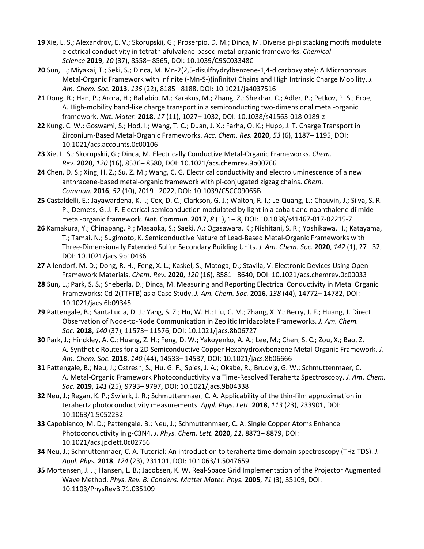- **19** Xie, L. S.; Alexandrov, E. V.; Skorupskii, G.; Proserpio, D. M.; Dinca, M. Diverse pi-pi stacking motifs modulate electrical conductivity in tetrathiafulvalene-based metal-organic frameworks. *Chemical Science* **2019**, *10* (37), 8558– 8565, DOI: 10.1039/C9SC03348C
- **20** Sun, L.; Miyakai, T.; Seki, S.; Dinca, M. Mn-2(2,5-disulfhydrylbenzene-1,4-dicarboxylate): A Microporous Metal-Organic Framework with Infinite (-Mn-S-)(infinity) Chains and High Intrinsic Charge Mobility. *J. Am. Chem. Soc.* **2013**, *135* (22), 8185– 8188, DOI: 10.1021/ja4037516
- **21** Dong, R.; Han, P.; Arora, H.; Ballabio, M.; Karakus, M.; Zhang, Z.; Shekhar, C.; Adler, P.; Petkov, P. S.; Erbe, A. High-mobility band-like charge transport in a semiconducting two-dimensional metal-organic framework. *Nat. Mater.* **2018**, *17* (11), 1027– 1032, DOI: 10.1038/s41563-018-0189-z
- **22** Kung, C. W.; Goswami, S.; Hod, I.; Wang, T. C.; Duan, J. X.; Farha, O. K.; Hupp, J. T. Charge Transport in Zirconium-Based Metal-Organic Frameworks. *Acc. Chem. Res.* **2020**, *53* (6), 1187– 1195, DOI: 10.1021/acs.accounts.0c00106
- **23** Xie, L. S.; Skorupskii, G.; Dinca, M. Electrically Conductive Metal-Organic Frameworks. *Chem. Rev.* **2020**, *120* (16), 8536– 8580, DOI: 10.1021/acs.chemrev.9b00766
- **24** Chen, D. S.; Xing, H. Z.; Su, Z. M.; Wang, C. G. Electrical conductivity and electroluminescence of a new anthracene-based metal-organic framework with pi-conjugated zigzag chains. *Chem. Commun.* **2016**, *52* (10), 2019– 2022, DOI: 10.1039/C5CC09065B
- **25** Castaldelli, E.; Jayawardena, K. I.; Cox, D. C.; Clarkson, G. J.; Walton, R. I.; Le-Quang, L.; Chauvin, J.; Silva, S. R. P.; Demets, G. J.-F. Electrical semiconduction modulated by light in a cobalt and naphthalene diimide metal-organic framework. *Nat. Commun.* **2017**, *8* (1), 1– 8, DOI: 10.1038/s41467-017-02215-7
- **26** Kamakura, Y.; Chinapang, P.; Masaoka, S.; Saeki, A.; Ogasawara, K.; Nishitani, S. R.; Yoshikawa, H.; Katayama, T.; Tamai, N.; Sugimoto, K. Semiconductive Nature of Lead-Based Metal-Organic Frameworks with Three-Dimensionally Extended Sulfur Secondary Building Units. *J. Am. Chem. Soc.* **2020**, *142* (1), 27– 32, DOI: 10.1021/jacs.9b10436
- **27** Allendorf, M. D.; Dong, R. H.; Feng, X. L.; Kaskel, S.; Matoga, D.; Stavila, V. Electronic Devices Using Open Framework Materials. *Chem. Rev.* **2020**, *120* (16), 8581– 8640, DOI: 10.1021/acs.chemrev.0c00033
- **28** Sun, L.; Park, S. S.; Sheberla, D.; Dinca, M. Measuring and Reporting Electrical Conductivity in Metal Organic Frameworks: Cd-2(TTFTB) as a Case Study. *J. Am. Chem. Soc.* **2016**, *138* (44), 14772– 14782, DOI: 10.1021/jacs.6b09345
- **29** Pattengale, B.; SantaLucia, D. J.; Yang, S. Z.; Hu, W. H.; Liu, C. M.; Zhang, X. Y.; Berry, J. F.; Huang, J. Direct Observation of Node-to-Node Communication in Zeolitic Imidazolate Frameworks. *J. Am. Chem. Soc.* **2018**, *140* (37), 11573– 11576, DOI: 10.1021/jacs.8b06727
- **30** Park, J.; Hinckley, A. C.; Huang, Z. H.; Feng, D. W.; Yakoyenko, A. A.; Lee, M.; Chen, S. C.; Zou, X.; Bao, Z. A. Synthetic Routes for a 2D Semiconductive Copper Hexahydroxybenzene Metal-Organic Framework. *J. Am. Chem. Soc.* **2018**, *140* (44), 14533– 14537, DOI: 10.1021/jacs.8b06666
- **31** Pattengale, B.; Neu, J.; Ostresh, S.; Hu, G. F.; Spies, J. A.; Okabe, R.; Brudvig, G. W.; Schmuttenmaer, C. A. Metal-Organic Framework Photoconductivity via Time-Resolved Terahertz Spectroscopy. *J. Am. Chem. Soc.* **2019**, *141* (25), 9793– 9797, DOI: 10.1021/jacs.9b04338
- **32** Neu, J.; Regan, K. P.; Swierk, J. R.; Schmuttenmaer, C. A. Applicability of the thin-film approximation in terahertz photoconductivity measurements. *Appl. Phys. Lett.* **2018**, *113* (23), 233901, DOI: 10.1063/1.5052232
- **33** Capobianco, M. D.; Pattengale, B.; Neu, J.; Schmuttenmaer, C. A. Single Copper Atoms Enhance Photoconductivity in g-C3N4. *J. Phys. Chem. Lett.* **2020**, *11*, 8873– 8879, DOI: 10.1021/acs.jpclett.0c02756
- **34** Neu, J.; Schmuttenmaer, C. A. Tutorial: An introduction to terahertz time domain spectroscopy (THz-TDS). *J. Appl. Phys.* **2018**, *124* (23), 231101, DOI: 10.1063/1.5047659
- **35** Mortensen, J. J.; Hansen, L. B.; Jacobsen, K. W. Real-Space Grid Implementation of the Projector Augmented Wave Method. *Phys. Rev. B: Condens. Matter Mater. Phys.* **2005**, *71* (3), 35109, DOI: 10.1103/PhysRevB.71.035109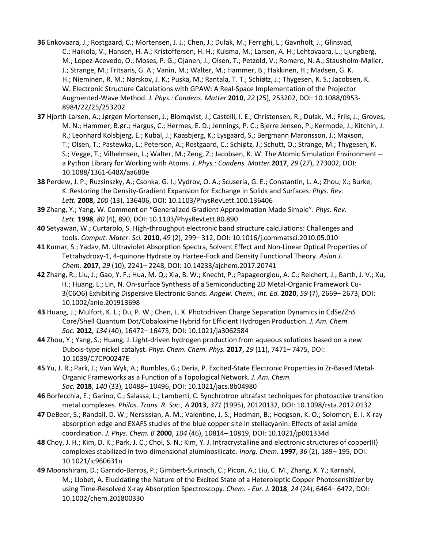- **36** Enkovaara, J.; Rostgaard, C.; Mortensen, J. J.; Chen, J.; Dułak, M.; Ferrighi, L.; Gavnholt, J.; Glinsvad, C.; Haikola, V.; Hansen, H. A.; Kristoffersen, H. H.; Kuisma, M.; Larsen, A. H.; Lehtovaara, L.; Ljungberg, M.; Lopez-Acevedo, O.; Moses, P. G.; Ojanen, J.; Olsen, T.; Petzold, V.; Romero, N. A.; Stausholm-Møller, J.; Strange, M.; Tritsaris, G. A.; Vanin, M.; Walter, M.; Hammer, B.; Hakkinen, H.; Madsen, G. K. H.; Nieminen, R. M.; Nørskov, J. K.; Puska, M.; Rantala, T. T.; Schiøtz, J.; Thygesen, K. S.; Jacobsen, K. W. Electronic Structure Calculations with GPAW: A Real-Space Implementation of the Projector Augmented-Wave Method. *J. Phys.: Condens. Matter* **2010**, *22* (25), 253202, DOI: 10.1088/0953- 8984/22/25/253202
- **37** Hjorth Larsen, A.; Jørgen Mortensen, J.; Blomqvist, J.; Castelli, I. E.; Christensen, R.; Dułak, M.; Friis, J.; Groves, M. N.; Hammer, B.ør.; Hargus, C.; Hermes, E. D.; Jennings, P. C.; Bjerre Jensen, P.; Kermode, J.; Kitchin, J. R.; Leonhard Kolsbjerg, E.; Kubal, J.; Kaasbjerg, K.; Lysgaard, S.; Bergmann Maronsson, J.; Maxson, T.; Olsen, T.; Pastewka, L.; Peterson, A.; Rostgaard, C.; Schiøtz, J.; Schutt, O.; Strange, M.; Thygesen, K. S.; Vegge, T.; Vilhelmsen, L.; Walter, M.; Zeng, Z.; Jacobsen, K. W. The Atomic Simulation Environment - a Python Library for Working with Atoms. *J. Phys.: Condens. Matter* **2017**, *29* (27), 273002, DOI: 10.1088/1361-648X/aa680e
- **38** Perdew, J. P.; Ruzsinszky, A.; Csonka, G. I.; Vydrov, O. A.; Scuseria, G. E.; Constantin, L. A.; Zhou, X.; Burke, K. Restoring the Density-Gradient Expansion for Exchange in Solids and Surfaces. *Phys. Rev. Lett.* **2008**, *100* (13), 136406, DOI: 10.1103/PhysRevLett.100.136406
- **39** Zhang, Y.; Yang, W. Comment on "Generalized Gradient Approximation Made Simple". *Phys. Rev. Lett.* **1998**, *80* (4), 890, DOI: 10.1103/PhysRevLett.80.890
- **40** Setyawan, W.; Curtarolo, S. High-throughput electronic band structure calculations: Challenges and tools. *Comput. Mater. Sci.* **2010**, *49* (2), 299– 312, DOI: 10.1016/j.commatsci.2010.05.010
- **41** Kumar, S.; Yadav, M. Ultraviolet Absorption Spectra, Solvent Effect and Non-Linear Optical Properties of Tetrahydroxy-1, 4-quinone Hydrate by Hartee-Fock and Density Functional Theory. *Asian J. Chem.* **2017**, *29* (10), 2241– 2248, DOI: 10.14233/ajchem.2017.20741
- **42** Zhang, R.; Liu, J.; Gao, Y. F.; Hua, M. Q.; Xia, B. W.; Knecht, P.; Papageorgiou, A. C.; Reichert, J.; Barth, J. V.; Xu, H.; Huang, L.; Lin, N. On-surface Synthesis of a Semiconducting 2D Metal-Organic Framework Cu-3(C6O6) Exhibiting Dispersive Electronic Bands. *Angew. Chem., Int. Ed.* **2020**, *59* (7), 2669– 2673, DOI: 10.1002/anie.201913698
- **43** Huang, J.; Mulfort, K. L.; Du, P. W.; Chen, L. X. Photodriven Charge Separation Dynamics in CdSe/ZnS Core/Shell Quantum Dot/Cobaloxime Hybrid for Efficient Hydrogen Production. *J. Am. Chem. Soc.* **2012**, *134* (40), 16472– 16475, DOI: 10.1021/ja3062584
- **44** Zhou, Y.; Yang, S.; Huang, J. Light-driven hydrogen production from aqueous solutions based on a new Dubois-type nickel catalyst. *Phys. Chem. Chem. Phys.* **2017**, *19* (11), 7471– 7475, DOI: 10.1039/C7CP00247E
- **45** Yu, J. R.; Park, J.; Van Wyk, A.; Rumbles, G.; Deria, P. Excited-State Electronic Properties in Zr-Based Metal-Organic Frameworks as a Function of a Topological Network. *J. Am. Chem. Soc.* **2018**, *140* (33), 10488– 10496, DOI: 10.1021/jacs.8b04980
- **46** Borfecchia, E.; Garino, C.; Salassa, L.; Lamberti, C. Synchrotron ultrafast techniques for photoactive transition metal complexes. *Philos. Trans. R. Soc., A* **2013**, *371* (1995), 20120132, DOI: 10.1098/rsta.2012.0132
- **47** DeBeer, S.; Randall, D. W.; Nersissian, A. M.; Valentine, J. S.; Hedman, B.; Hodgson, K. O.; Solomon, E. I. X-ray absorption edge and EXAFS studies of the blue copper site in stellacyanin: Effects of axial amide coordination. *J. Phys. Chem. B* **2000**, *104* (46), 10814– 10819, DOI: 10.1021/jp001334d
- **48** Choy, J. H.; Kim, D. K.; Park, J. C.; Choi, S. N.; Kim, Y. J. Intracrystalline and electronic structures of copper(II) complexes stabilized in two-dimensional aluminosilicate. *Inorg. Chem.* **1997**, *36* (2), 189– 195, DOI: 10.1021/ic960631n
- **49** Moonshiram, D.; Garrido-Barros, P.; Gimbert-Surinach, C.; Picon, A.; Liu, C. M.; Zhang, X. Y.; Karnahl, M.; Llobet, A. Elucidating the Nature of the Excited State of a Heteroleptic Copper Photosensitizer by using Time-Resolved X-ray Absorption Spectroscopy. *Chem. - Eur. J.* **2018**, *24* (24), 6464– 6472, DOI: 10.1002/chem.201800330